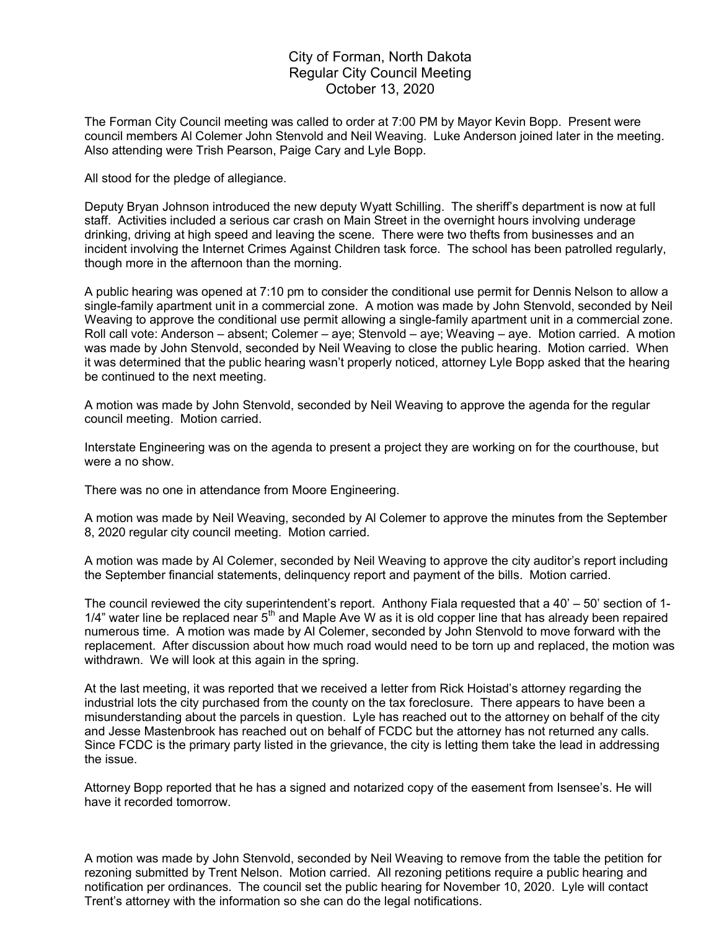## City of Forman, North Dakota Regular City Council Meeting October 13, 2020

The Forman City Council meeting was called to order at 7:00 PM by Mayor Kevin Bopp. Present were council members Al Colemer John Stenvold and Neil Weaving. Luke Anderson joined later in the meeting. Also attending were Trish Pearson, Paige Cary and Lyle Bopp.

All stood for the pledge of allegiance.

Deputy Bryan Johnson introduced the new deputy Wyatt Schilling. The sheriff's department is now at full staff. Activities included a serious car crash on Main Street in the overnight hours involving underage drinking, driving at high speed and leaving the scene. There were two thefts from businesses and an incident involving the Internet Crimes Against Children task force. The school has been patrolled regularly, though more in the afternoon than the morning.

A public hearing was opened at 7:10 pm to consider the conditional use permit for Dennis Nelson to allow a single-family apartment unit in a commercial zone. A motion was made by John Stenvold, seconded by Neil Weaving to approve the conditional use permit allowing a single-family apartment unit in a commercial zone. Roll call vote: Anderson – absent; Colemer – aye; Stenvold – aye; Weaving – aye. Motion carried. A motion was made by John Stenvold, seconded by Neil Weaving to close the public hearing. Motion carried. When it was determined that the public hearing wasn't properly noticed, attorney Lyle Bopp asked that the hearing be continued to the next meeting.

A motion was made by John Stenvold, seconded by Neil Weaving to approve the agenda for the regular council meeting. Motion carried.

Interstate Engineering was on the agenda to present a project they are working on for the courthouse, but were a no show.

There was no one in attendance from Moore Engineering.

A motion was made by Neil Weaving, seconded by Al Colemer to approve the minutes from the September 8, 2020 regular city council meeting. Motion carried.

A motion was made by Al Colemer, seconded by Neil Weaving to approve the city auditor's report including the September financial statements, delinquency report and payment of the bills. Motion carried.

The council reviewed the city superintendent's report. Anthony Fiala requested that a 40' – 50' section of 1-  $1/4$ " water line be replaced near  $5<sup>th</sup>$  and Maple Ave W as it is old copper line that has already been repaired numerous time. A motion was made by Al Colemer, seconded by John Stenvold to move forward with the replacement. After discussion about how much road would need to be torn up and replaced, the motion was withdrawn. We will look at this again in the spring.

At the last meeting, it was reported that we received a letter from Rick Hoistad's attorney regarding the industrial lots the city purchased from the county on the tax foreclosure. There appears to have been a misunderstanding about the parcels in question. Lyle has reached out to the attorney on behalf of the city and Jesse Mastenbrook has reached out on behalf of FCDC but the attorney has not returned any calls. Since FCDC is the primary party listed in the grievance, the city is letting them take the lead in addressing the issue.

Attorney Bopp reported that he has a signed and notarized copy of the easement from Isensee's. He will have it recorded tomorrow.

A motion was made by John Stenvold, seconded by Neil Weaving to remove from the table the petition for rezoning submitted by Trent Nelson. Motion carried. All rezoning petitions require a public hearing and notification per ordinances. The council set the public hearing for November 10, 2020. Lyle will contact Trent's attorney with the information so she can do the legal notifications.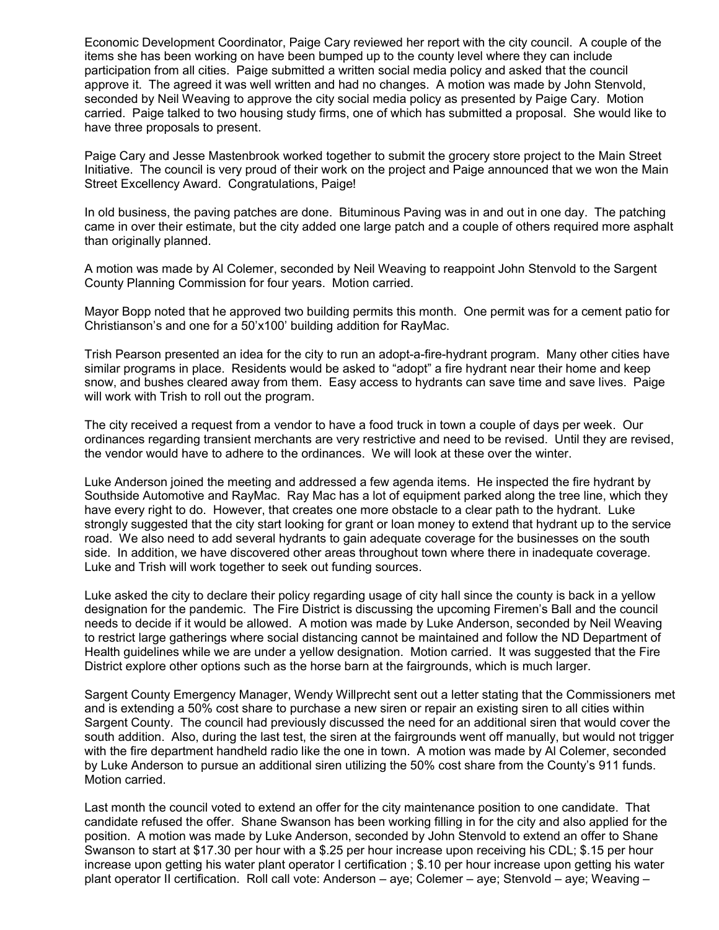Economic Development Coordinator, Paige Cary reviewed her report with the city council. A couple of the items she has been working on have been bumped up to the county level where they can include participation from all cities. Paige submitted a written social media policy and asked that the council approve it. The agreed it was well written and had no changes. A motion was made by John Stenvold, seconded by Neil Weaving to approve the city social media policy as presented by Paige Cary. Motion carried. Paige talked to two housing study firms, one of which has submitted a proposal. She would like to have three proposals to present.

Paige Cary and Jesse Mastenbrook worked together to submit the grocery store project to the Main Street Initiative. The council is very proud of their work on the project and Paige announced that we won the Main Street Excellency Award. Congratulations, Paige!

In old business, the paving patches are done. Bituminous Paving was in and out in one day. The patching came in over their estimate, but the city added one large patch and a couple of others required more asphalt than originally planned.

A motion was made by Al Colemer, seconded by Neil Weaving to reappoint John Stenvold to the Sargent County Planning Commission for four years. Motion carried.

Mayor Bopp noted that he approved two building permits this month. One permit was for a cement patio for Christianson's and one for a 50'x100' building addition for RayMac.

Trish Pearson presented an idea for the city to run an adopt-a-fire-hydrant program. Many other cities have similar programs in place. Residents would be asked to "adopt" a fire hydrant near their home and keep snow, and bushes cleared away from them. Easy access to hydrants can save time and save lives. Paige will work with Trish to roll out the program.

The city received a request from a vendor to have a food truck in town a couple of days per week. Our ordinances regarding transient merchants are very restrictive and need to be revised. Until they are revised, the vendor would have to adhere to the ordinances. We will look at these over the winter.

Luke Anderson joined the meeting and addressed a few agenda items. He inspected the fire hydrant by Southside Automotive and RayMac. Ray Mac has a lot of equipment parked along the tree line, which they have every right to do. However, that creates one more obstacle to a clear path to the hydrant. Luke strongly suggested that the city start looking for grant or loan money to extend that hydrant up to the service road. We also need to add several hydrants to gain adequate coverage for the businesses on the south side. In addition, we have discovered other areas throughout town where there in inadequate coverage. Luke and Trish will work together to seek out funding sources.

Luke asked the city to declare their policy regarding usage of city hall since the county is back in a yellow designation for the pandemic. The Fire District is discussing the upcoming Firemen's Ball and the council needs to decide if it would be allowed. A motion was made by Luke Anderson, seconded by Neil Weaving to restrict large gatherings where social distancing cannot be maintained and follow the ND Department of Health guidelines while we are under a yellow designation. Motion carried. It was suggested that the Fire District explore other options such as the horse barn at the fairgrounds, which is much larger.

Sargent County Emergency Manager, Wendy Willprecht sent out a letter stating that the Commissioners met and is extending a 50% cost share to purchase a new siren or repair an existing siren to all cities within Sargent County. The council had previously discussed the need for an additional siren that would cover the south addition. Also, during the last test, the siren at the fairgrounds went off manually, but would not trigger with the fire department handheld radio like the one in town. A motion was made by Al Colemer, seconded by Luke Anderson to pursue an additional siren utilizing the 50% cost share from the County's 911 funds. Motion carried.

Last month the council voted to extend an offer for the city maintenance position to one candidate. That candidate refused the offer. Shane Swanson has been working filling in for the city and also applied for the position. A motion was made by Luke Anderson, seconded by John Stenvold to extend an offer to Shane Swanson to start at \$17.30 per hour with a \$.25 per hour increase upon receiving his CDL; \$.15 per hour increase upon getting his water plant operator I certification ; \$.10 per hour increase upon getting his water plant operator II certification. Roll call vote: Anderson – aye; Colemer – aye; Stenvold – aye; Weaving –